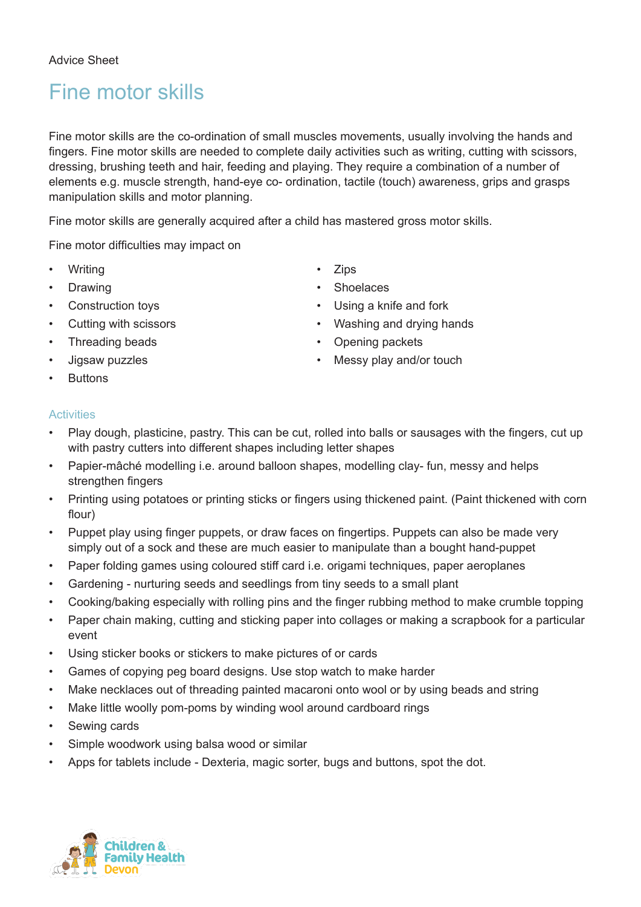## Fine motor skills

Fine motor skills are the co-ordination of small muscles movements, usually involving the hands and fingers. Fine motor skills are needed to complete daily activities such as writing, cutting with scissors, dressing, brushing teeth and hair, feeding and playing. They require a combination of a number of elements e.g. muscle strength, hand-eye co- ordination, tactile (touch) awareness, grips and grasps manipulation skills and motor planning.

Fine motor skills are generally acquired after a child has mastered gross motor skills.

Fine motor difficulties may impact on

- Writing Zips
- 
- 
- 
- Threading beads Opening packets
- 
- **Buttons**
- 
- Drawing  **Shoelaces** 
	- Construction toys Using a knife and fork
- Cutting with scissors **•** Washing and drying hands
	-
	- Jigsaw puzzles Messy play and/or touch

## **Activities**

- Play dough, plasticine, pastry. This can be cut, rolled into balls or sausages with the fingers, cut up with pastry cutters into different shapes including letter shapes
- Papier-mâché modelling i.e. around balloon shapes, modelling clay- fun, messy and helps strengthen fingers
- Printing using potatoes or printing sticks or fingers using thickened paint. (Paint thickened with corn flour)
- Puppet play using finger puppets, or draw faces on fingertips. Puppets can also be made very simply out of a sock and these are much easier to manipulate than a bought hand-puppet
- Paper folding games using coloured stiff card i.e. origami techniques, paper aeroplanes
- Gardening nurturing seeds and seedlings from tiny seeds to a small plant
- Cooking/baking especially with rolling pins and the finger rubbing method to make crumble topping
- Paper chain making, cutting and sticking paper into collages or making a scrapbook for a particular event
- Using sticker books or stickers to make pictures of or cards
- Games of copying peg board designs. Use stop watch to make harder
- Make necklaces out of threading painted macaroni onto wool or by using beads and string
- Make little woolly pom-poms by winding wool around cardboard rings
- Sewing cards
- Simple woodwork using balsa wood or similar
- Apps for tablets include Dexteria, magic sorter, bugs and buttons, spot the dot.